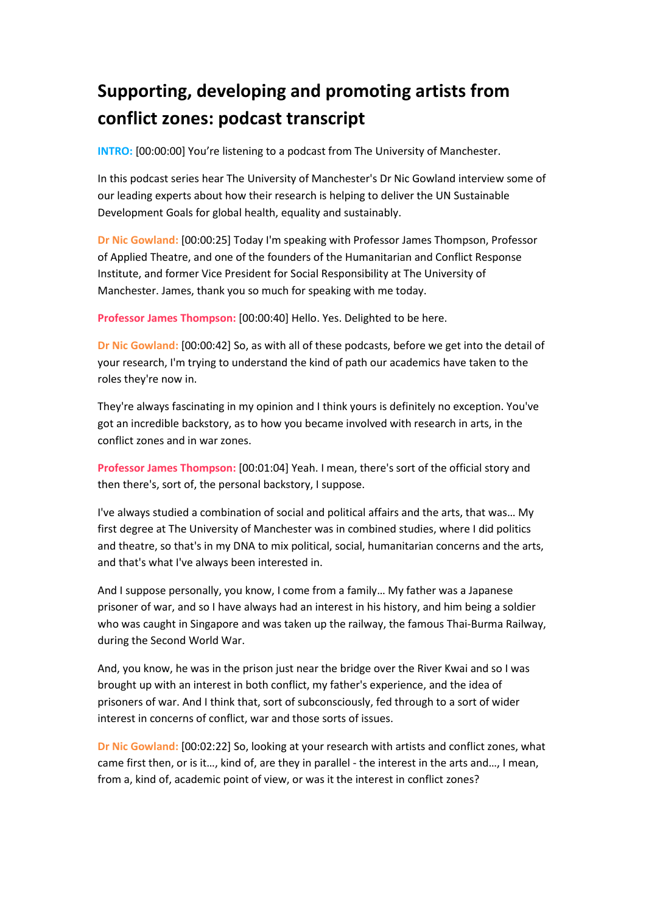## **Supporting, developing and promoting artists from conflict zones: podcast transcript**

**INTRO:** [00:00:00] You're listening to a podcast from The University of Manchester.

In this podcast series hear The University of Manchester's Dr Nic Gowland interview some of our leading experts about how their research is helping to deliver the UN Sustainable Development Goals for global health, equality and sustainably.

**Dr Nic Gowland:** [00:00:25] Today I'm speaking with Professor James Thompson, Professor of Applied Theatre, and one of the founders of the Humanitarian and Conflict Response Institute, and former Vice President for Social Responsibility at The University of Manchester. James, thank you so much for speaking with me today.

**Professor James Thompson:** [00:00:40] Hello. Yes. Delighted to be here.

**Dr Nic Gowland:** [00:00:42] So, as with all of these podcasts, before we get into the detail of your research, I'm trying to understand the kind of path our academics have taken to the roles they're now in.

They're always fascinating in my opinion and I think yours is definitely no exception. You've got an incredible backstory, as to how you became involved with research in arts, in the conflict zones and in war zones.

**Professor James Thompson:** [00:01:04] Yeah. I mean, there's sort of the official story and then there's, sort of, the personal backstory, I suppose.

I've always studied a combination of social and political affairs and the arts, that was… My first degree at The University of Manchester was in combined studies, where I did politics and theatre, so that's in my DNA to mix political, social, humanitarian concerns and the arts, and that's what I've always been interested in.

And I suppose personally, you know, I come from a family… My father was a Japanese prisoner of war, and so I have always had an interest in his history, and him being a soldier who was caught in Singapore and was taken up the railway, the famous Thai-Burma Railway, during the Second World War.

And, you know, he was in the prison just near the bridge over the River Kwai and so I was brought up with an interest in both conflict, my father's experience, and the idea of prisoners of war. And I think that, sort of subconsciously, fed through to a sort of wider interest in concerns of conflict, war and those sorts of issues.

**Dr Nic Gowland:** [00:02:22] So, looking at your research with artists and conflict zones, what came first then, or is it…, kind of, are they in parallel - the interest in the arts and…, I mean, from a, kind of, academic point of view, or was it the interest in conflict zones?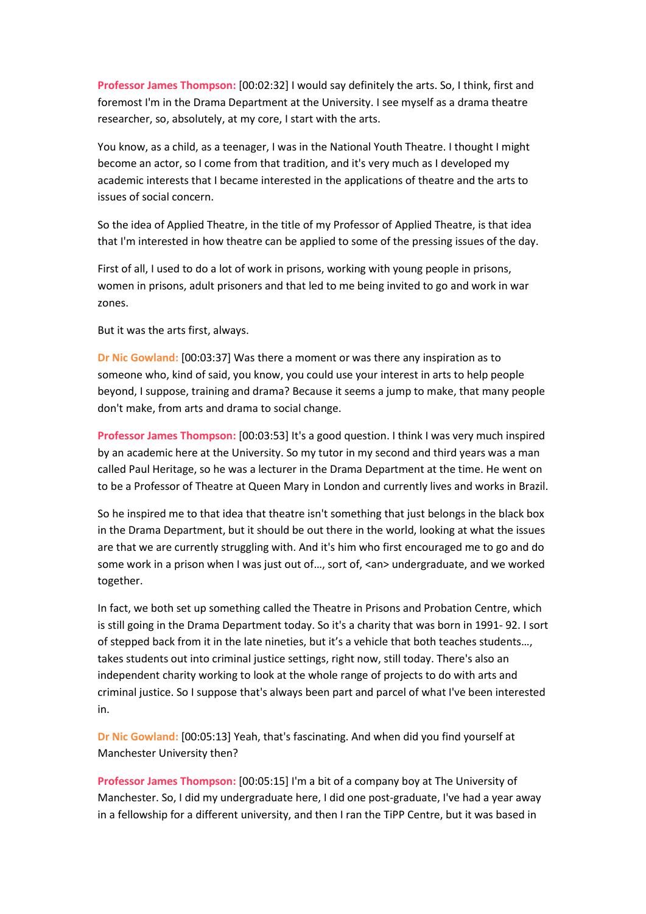**Professor James Thompson:** [00:02:32] I would say definitely the arts. So, I think, first and foremost I'm in the Drama Department at the University. I see myself as a drama theatre researcher, so, absolutely, at my core, I start with the arts.

You know, as a child, as a teenager, I was in the National Youth Theatre. I thought I might become an actor, so I come from that tradition, and it's very much as I developed my academic interests that I became interested in the applications of theatre and the arts to issues of social concern.

So the idea of Applied Theatre, in the title of my Professor of Applied Theatre, is that idea that I'm interested in how theatre can be applied to some of the pressing issues of the day.

First of all, I used to do a lot of work in prisons, working with young people in prisons, women in prisons, adult prisoners and that led to me being invited to go and work in war zones.

But it was the arts first, always.

**Dr Nic Gowland:** [00:03:37] Was there a moment or was there any inspiration as to someone who, kind of said, you know, you could use your interest in arts to help people beyond, I suppose, training and drama? Because it seems a jump to make, that many people don't make, from arts and drama to social change.

**Professor James Thompson:** [00:03:53] It's a good question. I think I was very much inspired by an academic here at the University. So my tutor in my second and third years was a man called Paul Heritage, so he was a lecturer in the Drama Department at the time. He went on to be a Professor of Theatre at Queen Mary in London and currently lives and works in Brazil.

So he inspired me to that idea that theatre isn't something that just belongs in the black box in the Drama Department, but it should be out there in the world, looking at what the issues are that we are currently struggling with. And it's him who first encouraged me to go and do some work in a prison when I was just out of..., sort of, <an> undergraduate, and we worked together.

In fact, we both set up something called the Theatre in Prisons and Probation Centre, which is still going in the Drama Department today. So it's a charity that was born in 1991- 92. I sort of stepped back from it in the late nineties, but it's a vehicle that both teaches students…, takes students out into criminal justice settings, right now, still today. There's also an independent charity working to look at the whole range of projects to do with arts and criminal justice. So I suppose that's always been part and parcel of what I've been interested in.

**Dr Nic Gowland:** [00:05:13] Yeah, that's fascinating. And when did you find yourself at Manchester University then?

**Professor James Thompson:** [00:05:15] I'm a bit of a company boy at The University of Manchester. So, I did my undergraduate here, I did one post-graduate, I've had a year away in a fellowship for a different university, and then I ran the TiPP Centre, but it was based in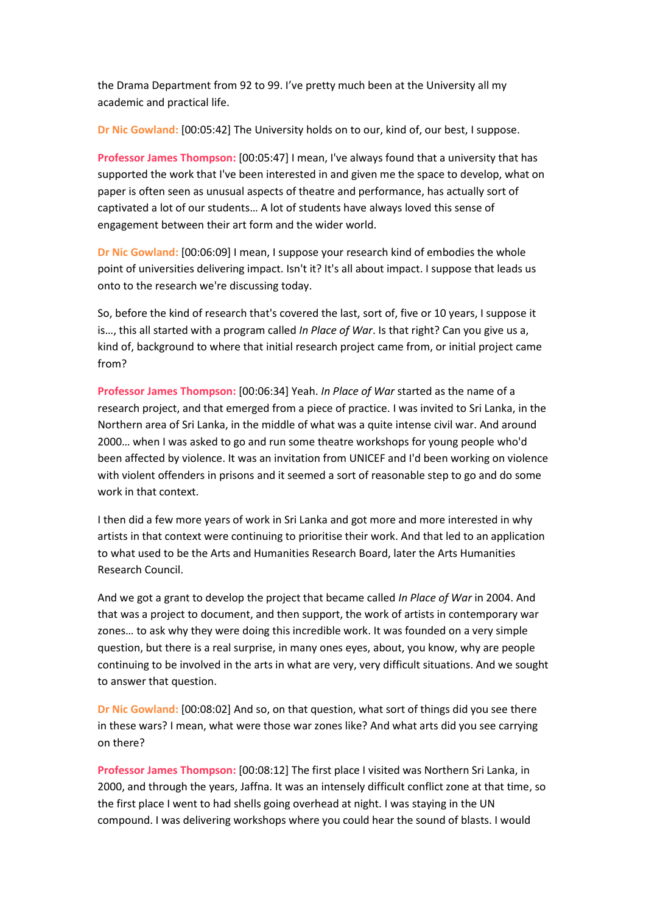the Drama Department from 92 to 99. I've pretty much been at the University all my academic and practical life.

**Dr Nic Gowland:** [00:05:42] The University holds on to our, kind of, our best, I suppose.

**Professor James Thompson:** [00:05:47] I mean, I've always found that a university that has supported the work that I've been interested in and given me the space to develop, what on paper is often seen as unusual aspects of theatre and performance, has actually sort of captivated a lot of our students… A lot of students have always loved this sense of engagement between their art form and the wider world.

**Dr Nic Gowland:** [00:06:09] I mean, I suppose your research kind of embodies the whole point of universities delivering impact. Isn't it? It's all about impact. I suppose that leads us onto to the research we're discussing today.

So, before the kind of research that's covered the last, sort of, five or 10 years, I suppose it is…, this all started with a program called *In Place of War*. Is that right? Can you give us a, kind of, background to where that initial research project came from, or initial project came from?

**Professor James Thompson:** [00:06:34] Yeah. *In Place of War* started as the name of a research project, and that emerged from a piece of practice. I was invited to Sri Lanka, in the Northern area of Sri Lanka, in the middle of what was a quite intense civil war. And around 2000… when I was asked to go and run some theatre workshops for young people who'd been affected by violence. It was an invitation from UNICEF and I'd been working on violence with violent offenders in prisons and it seemed a sort of reasonable step to go and do some work in that context.

I then did a few more years of work in Sri Lanka and got more and more interested in why artists in that context were continuing to prioritise their work. And that led to an application to what used to be the Arts and Humanities Research Board, later the Arts Humanities Research Council.

And we got a grant to develop the project that became called *In Place of War* in 2004. And that was a project to document, and then support, the work of artists in contemporary war zones… to ask why they were doing this incredible work. It was founded on a very simple question, but there is a real surprise, in many ones eyes, about, you know, why are people continuing to be involved in the arts in what are very, very difficult situations. And we sought to answer that question.

**Dr Nic Gowland:** [00:08:02] And so, on that question, what sort of things did you see there in these wars? I mean, what were those war zones like? And what arts did you see carrying on there?

**Professor James Thompson:** [00:08:12] The first place I visited was Northern Sri Lanka, in 2000, and through the years, Jaffna. It was an intensely difficult conflict zone at that time, so the first place I went to had shells going overhead at night. I was staying in the UN compound. I was delivering workshops where you could hear the sound of blasts. I would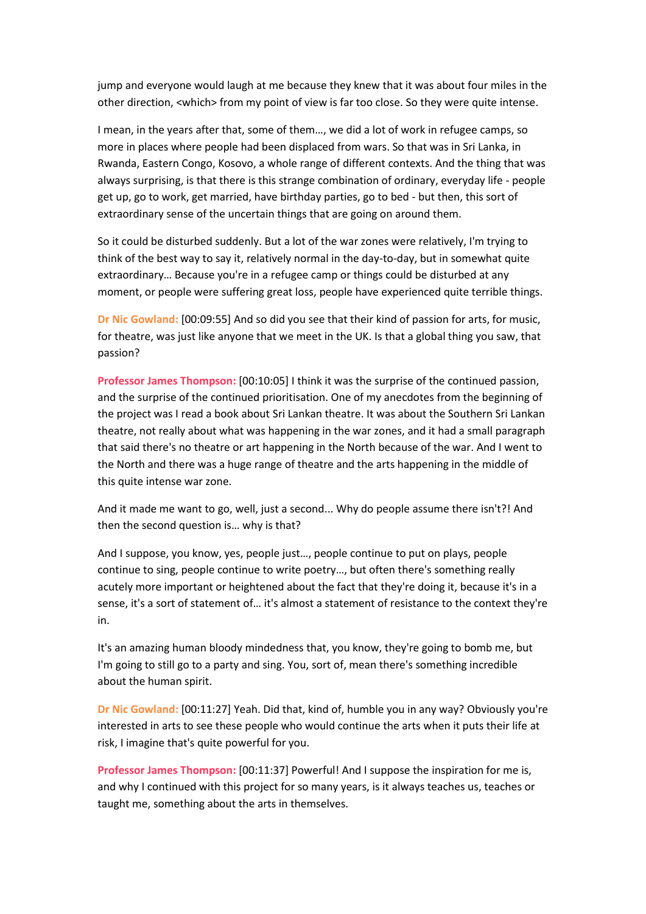jump and everyone would laugh at me because they knew that it was about four miles in the other direction, <which> from my point of view is far too close. So they were quite intense.

I mean, in the years after that, some of them…, we did a lot of work in refugee camps, so more in places where people had been displaced from wars. So that was in Sri Lanka, in Rwanda, Eastern Congo, Kosovo, a whole range of different contexts. And the thing that was always surprising, is that there is this strange combination of ordinary, everyday life - people get up, go to work, get married, have birthday parties, go to bed - but then, this sort of extraordinary sense of the uncertain things that are going on around them.

So it could be disturbed suddenly. But a lot of the war zones were relatively, I'm trying to think of the best way to say it, relatively normal in the day-to-day, but in somewhat quite extraordinary… Because you're in a refugee camp or things could be disturbed at any moment, or people were suffering great loss, people have experienced quite terrible things.

**Dr Nic Gowland:** [00:09:55] And so did you see that their kind of passion for arts, for music, for theatre, was just like anyone that we meet in the UK. Is that a global thing you saw, that passion?

**Professor James Thompson:** [00:10:05] I think it was the surprise of the continued passion, and the surprise of the continued prioritisation. One of my anecdotes from the beginning of the project was I read a book about Sri Lankan theatre. It was about the Southern Sri Lankan theatre, not really about what was happening in the war zones, and it had a small paragraph that said there's no theatre or art happening in the North because of the war. And I went to the North and there was a huge range of theatre and the arts happening in the middle of this quite intense war zone.

And it made me want to go, well, just a second... Why do people assume there isn't?! And then the second question is… why is that?

And I suppose, you know, yes, people just…, people continue to put on plays, people continue to sing, people continue to write poetry…, but often there's something really acutely more important or heightened about the fact that they're doing it, because it's in a sense, it's a sort of statement of… it's almost a statement of resistance to the context they're in.

It's an amazing human bloody mindedness that, you know, they're going to bomb me, but I'm going to still go to a party and sing. You, sort of, mean there's something incredible about the human spirit.

**Dr Nic Gowland:** [00:11:27] Yeah. Did that, kind of, humble you in any way? Obviously you're interested in arts to see these people who would continue the arts when it puts their life at risk, I imagine that's quite powerful for you.

**Professor James Thompson:** [00:11:37] Powerful! And I suppose the inspiration for me is, and why I continued with this project for so many years, is it always teaches us, teaches or taught me, something about the arts in themselves.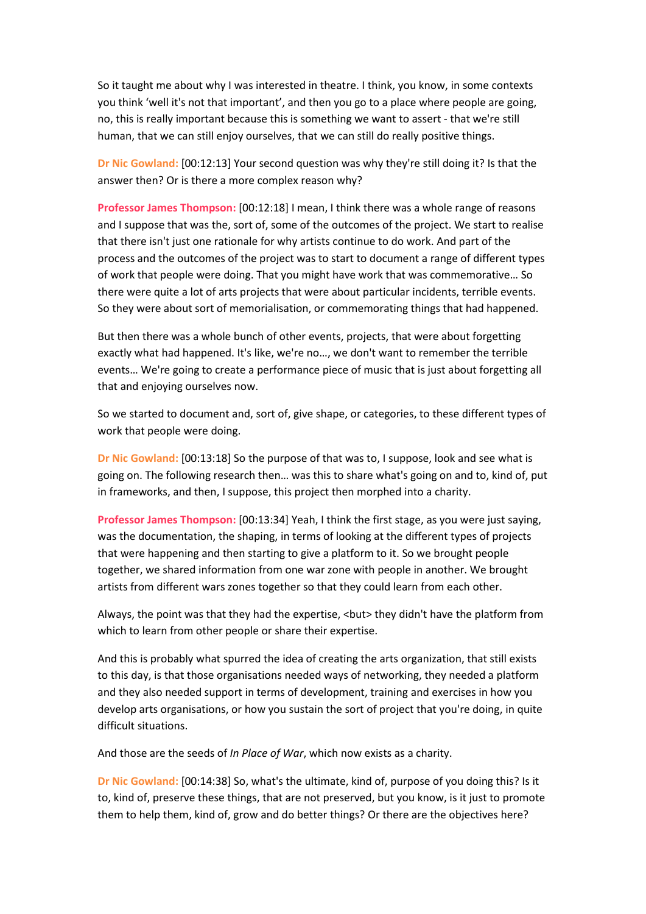So it taught me about why I was interested in theatre. I think, you know, in some contexts you think 'well it's not that important', and then you go to a place where people are going, no, this is really important because this is something we want to assert - that we're still human, that we can still enjoy ourselves, that we can still do really positive things.

**Dr Nic Gowland:** [00:12:13] Your second question was why they're still doing it? Is that the answer then? Or is there a more complex reason why?

**Professor James Thompson:** [00:12:18] I mean, I think there was a whole range of reasons and I suppose that was the, sort of, some of the outcomes of the project. We start to realise that there isn't just one rationale for why artists continue to do work. And part of the process and the outcomes of the project was to start to document a range of different types of work that people were doing. That you might have work that was commemorative… So there were quite a lot of arts projects that were about particular incidents, terrible events. So they were about sort of memorialisation, or commemorating things that had happened.

But then there was a whole bunch of other events, projects, that were about forgetting exactly what had happened. It's like, we're no…, we don't want to remember the terrible events… We're going to create a performance piece of music that is just about forgetting all that and enjoying ourselves now.

So we started to document and, sort of, give shape, or categories, to these different types of work that people were doing.

**Dr Nic Gowland:** [00:13:18] So the purpose of that was to, I suppose, look and see what is going on. The following research then… was this to share what's going on and to, kind of, put in frameworks, and then, I suppose, this project then morphed into a charity.

**Professor James Thompson:** [00:13:34] Yeah, I think the first stage, as you were just saying, was the documentation, the shaping, in terms of looking at the different types of projects that were happening and then starting to give a platform to it. So we brought people together, we shared information from one war zone with people in another. We brought artists from different wars zones together so that they could learn from each other.

Always, the point was that they had the expertise, <br/>but> they didn't have the platform from which to learn from other people or share their expertise.

And this is probably what spurred the idea of creating the arts organization, that still exists to this day, is that those organisations needed ways of networking, they needed a platform and they also needed support in terms of development, training and exercises in how you develop arts organisations, or how you sustain the sort of project that you're doing, in quite difficult situations.

And those are the seeds of *In Place of War*, which now exists as a charity.

**Dr Nic Gowland:** [00:14:38] So, what's the ultimate, kind of, purpose of you doing this? Is it to, kind of, preserve these things, that are not preserved, but you know, is it just to promote them to help them, kind of, grow and do better things? Or there are the objectives here?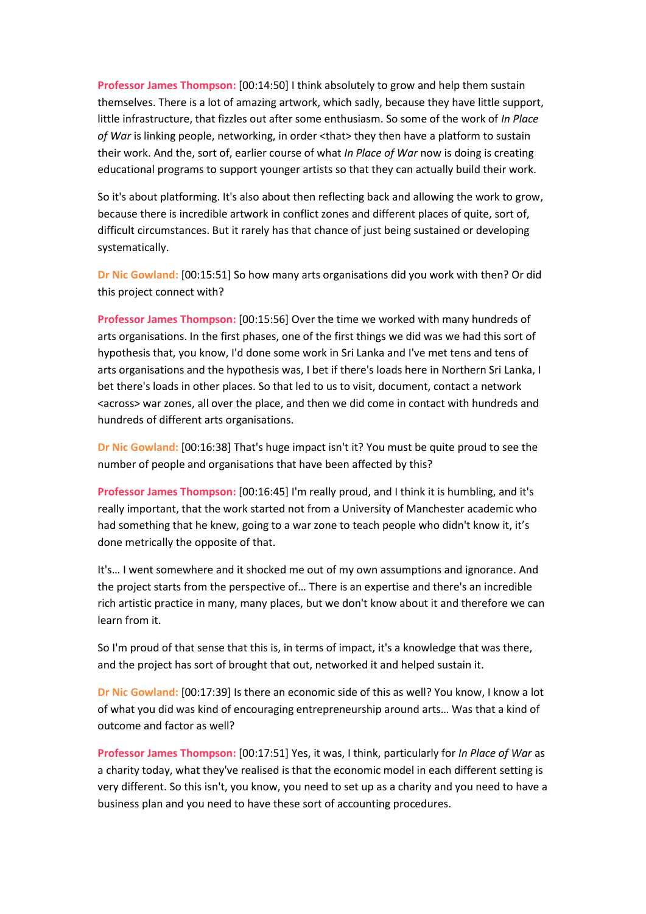**Professor James Thompson:** [00:14:50] I think absolutely to grow and help them sustain themselves. There is a lot of amazing artwork, which sadly, because they have little support, little infrastructure, that fizzles out after some enthusiasm. So some of the work of *In Place*  of War is linking people, networking, in order <that> they then have a platform to sustain their work. And the, sort of, earlier course of what *In Place of War* now is doing is creating educational programs to support younger artists so that they can actually build their work.

So it's about platforming. It's also about then reflecting back and allowing the work to grow, because there is incredible artwork in conflict zones and different places of quite, sort of, difficult circumstances. But it rarely has that chance of just being sustained or developing systematically.

**Dr Nic Gowland:** [00:15:51] So how many arts organisations did you work with then? Or did this project connect with?

**Professor James Thompson:** [00:15:56] Over the time we worked with many hundreds of arts organisations. In the first phases, one of the first things we did was we had this sort of hypothesis that, you know, I'd done some work in Sri Lanka and I've met tens and tens of arts organisations and the hypothesis was, I bet if there's loads here in Northern Sri Lanka, I bet there's loads in other places. So that led to us to visit, document, contact a network <across> war zones, all over the place, and then we did come in contact with hundreds and hundreds of different arts organisations.

**Dr Nic Gowland:** [00:16:38] That's huge impact isn't it? You must be quite proud to see the number of people and organisations that have been affected by this?

**Professor James Thompson:** [00:16:45] I'm really proud, and I think it is humbling, and it's really important, that the work started not from a University of Manchester academic who had something that he knew, going to a war zone to teach people who didn't know it, it's done metrically the opposite of that.

It's… I went somewhere and it shocked me out of my own assumptions and ignorance. And the project starts from the perspective of… There is an expertise and there's an incredible rich artistic practice in many, many places, but we don't know about it and therefore we can learn from it.

So I'm proud of that sense that this is, in terms of impact, it's a knowledge that was there, and the project has sort of brought that out, networked it and helped sustain it.

**Dr Nic Gowland:** [00:17:39] Is there an economic side of this as well? You know, I know a lot of what you did was kind of encouraging entrepreneurship around arts… Was that a kind of outcome and factor as well?

**Professor James Thompson:** [00:17:51] Yes, it was, I think, particularly for *In Place of War* as a charity today, what they've realised is that the economic model in each different setting is very different. So this isn't, you know, you need to set up as a charity and you need to have a business plan and you need to have these sort of accounting procedures.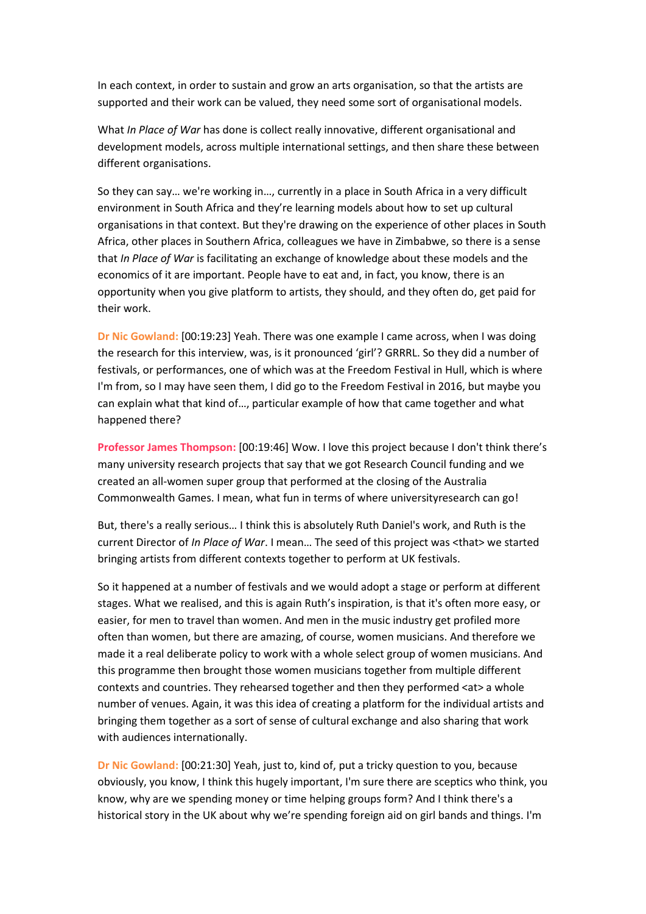In each context, in order to sustain and grow an arts organisation, so that the artists are supported and their work can be valued, they need some sort of organisational models.

What *In Place of War* has done is collect really innovative, different organisational and development models, across multiple international settings, and then share these between different organisations.

So they can say… we're working in…, currently in a place in South Africa in a very difficult environment in South Africa and they're learning models about how to set up cultural organisations in that context. But they're drawing on the experience of other places in South Africa, other places in Southern Africa, colleagues we have in Zimbabwe, so there is a sense that *In Place of War* is facilitating an exchange of knowledge about these models and the economics of it are important. People have to eat and, in fact, you know, there is an opportunity when you give platform to artists, they should, and they often do, get paid for their work.

**Dr Nic Gowland:** [00:19:23] Yeah. There was one example I came across, when I was doing the research for this interview, was, is it pronounced 'girl'? GRRRL. So they did a number of festivals, or performances, one of which was at the Freedom Festival in Hull, which is where I'm from, so I may have seen them, I did go to the Freedom Festival in 2016, but maybe you can explain what that kind of…, particular example of how that came together and what happened there?

**Professor James Thompson:** [00:19:46] Wow. I love this project because I don't think there's many university research projects that say that we got Research Council funding and we created an all-women super group that performed at the closing of the Australia Commonwealth Games. I mean, what fun in terms of where universityresearch can go!

But, there's a really serious… I think this is absolutely Ruth Daniel's work, and Ruth is the current Director of *In Place of War*. I mean… The seed of this project was <that> we started bringing artists from different contexts together to perform at UK festivals.

So it happened at a number of festivals and we would adopt a stage or perform at different stages. What we realised, and this is again Ruth's inspiration, is that it's often more easy, or easier, for men to travel than women. And men in the music industry get profiled more often than women, but there are amazing, of course, women musicians. And therefore we made it a real deliberate policy to work with a whole select group of women musicians. And this programme then brought those women musicians together from multiple different contexts and countries. They rehearsed together and then they performed <at> a whole number of venues. Again, it was this idea of creating a platform for the individual artists and bringing them together as a sort of sense of cultural exchange and also sharing that work with audiences internationally.

**Dr Nic Gowland:** [00:21:30] Yeah, just to, kind of, put a tricky question to you, because obviously, you know, I think this hugely important, I'm sure there are sceptics who think, you know, why are we spending money or time helping groups form? And I think there's a historical story in the UK about why we're spending foreign aid on girl bands and things. I'm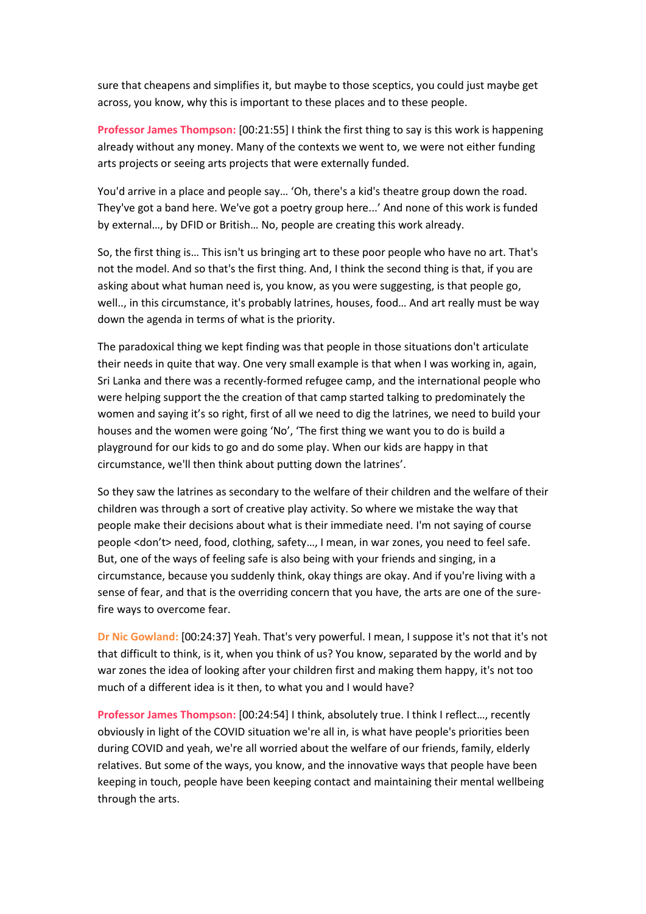sure that cheapens and simplifies it, but maybe to those sceptics, you could just maybe get across, you know, why this is important to these places and to these people.

**Professor James Thompson:** [00:21:55] I think the first thing to say is this work is happening already without any money. Many of the contexts we went to, we were not either funding arts projects or seeing arts projects that were externally funded.

You'd arrive in a place and people say… 'Oh, there's a kid's theatre group down the road. They've got a band here. We've got a poetry group here...' And none of this work is funded by external…, by DFID or British… No, people are creating this work already.

So, the first thing is… This isn't us bringing art to these poor people who have no art. That's not the model. And so that's the first thing. And, I think the second thing is that, if you are asking about what human need is, you know, as you were suggesting, is that people go, well.., in this circumstance, it's probably latrines, houses, food… And art really must be way down the agenda in terms of what is the priority.

The paradoxical thing we kept finding was that people in those situations don't articulate their needs in quite that way. One very small example is that when I was working in, again, Sri Lanka and there was a recently-formed refugee camp, and the international people who were helping support the the creation of that camp started talking to predominately the women and saying it's so right, first of all we need to dig the latrines, we need to build your houses and the women were going 'No', 'The first thing we want you to do is build a playground for our kids to go and do some play. When our kids are happy in that circumstance, we'll then think about putting down the latrines'.

So they saw the latrines as secondary to the welfare of their children and the welfare of their children was through a sort of creative play activity. So where we mistake the way that people make their decisions about what is their immediate need. I'm not saying of course people <don't> need, food, clothing, safety…, I mean, in war zones, you need to feel safe. But, one of the ways of feeling safe is also being with your friends and singing, in a circumstance, because you suddenly think, okay things are okay. And if you're living with a sense of fear, and that is the overriding concern that you have, the arts are one of the surefire ways to overcome fear.

**Dr Nic Gowland:** [00:24:37] Yeah. That's very powerful. I mean, I suppose it's not that it's not that difficult to think, is it, when you think of us? You know, separated by the world and by war zones the idea of looking after your children first and making them happy, it's not too much of a different idea is it then, to what you and I would have?

**Professor James Thompson:** [00:24:54] I think, absolutely true. I think I reflect…, recently obviously in light of the COVID situation we're all in, is what have people's priorities been during COVID and yeah, we're all worried about the welfare of our friends, family, elderly relatives. But some of the ways, you know, and the innovative ways that people have been keeping in touch, people have been keeping contact and maintaining their mental wellbeing through the arts.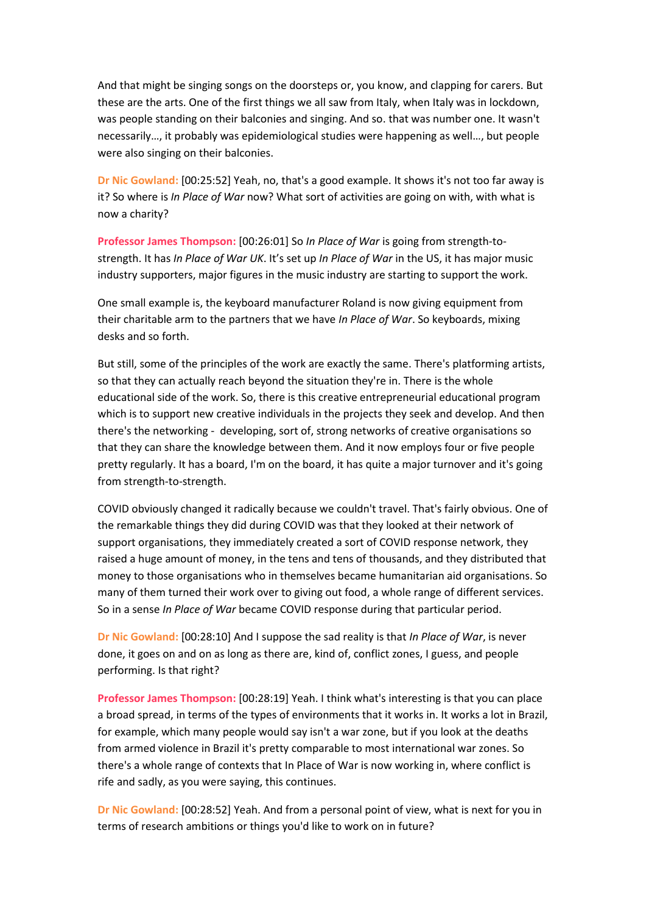And that might be singing songs on the doorsteps or, you know, and clapping for carers. But these are the arts. One of the first things we all saw from Italy, when Italy was in lockdown, was people standing on their balconies and singing. And so. that was number one. It wasn't necessarily…, it probably was epidemiological studies were happening as well…, but people were also singing on their balconies.

**Dr Nic Gowland:** [00:25:52] Yeah, no, that's a good example. It shows it's not too far away is it? So where is *In Place of War* now? What sort of activities are going on with, with what is now a charity?

**Professor James Thompson:** [00:26:01] So *In Place of War* is going from strength-tostrength. It has *In Place of War UK*. It's set up *In Place of War* in the US, it has major music industry supporters, major figures in the music industry are starting to support the work.

One small example is, the keyboard manufacturer Roland is now giving equipment from their charitable arm to the partners that we have *In Place of War*. So keyboards, mixing desks and so forth.

But still, some of the principles of the work are exactly the same. There's platforming artists, so that they can actually reach beyond the situation they're in. There is the whole educational side of the work. So, there is this creative entrepreneurial educational program which is to support new creative individuals in the projects they seek and develop. And then there's the networking - developing, sort of, strong networks of creative organisations so that they can share the knowledge between them. And it now employs four or five people pretty regularly. It has a board, I'm on the board, it has quite a major turnover and it's going from strength-to-strength.

COVID obviously changed it radically because we couldn't travel. That's fairly obvious. One of the remarkable things they did during COVID was that they looked at their network of support organisations, they immediately created a sort of COVID response network, they raised a huge amount of money, in the tens and tens of thousands, and they distributed that money to those organisations who in themselves became humanitarian aid organisations. So many of them turned their work over to giving out food, a whole range of different services. So in a sense *In Place of War* became COVID response during that particular period.

**Dr Nic Gowland:** [00:28:10] And I suppose the sad reality is that *In Place of War*, is never done, it goes on and on as long as there are, kind of, conflict zones, I guess, and people performing. Is that right?

**Professor James Thompson:** [00:28:19] Yeah. I think what's interesting is that you can place a broad spread, in terms of the types of environments that it works in. It works a lot in Brazil, for example, which many people would say isn't a war zone, but if you look at the deaths from armed violence in Brazil it's pretty comparable to most international war zones. So there's a whole range of contexts that In Place of War is now working in, where conflict is rife and sadly, as you were saying, this continues.

**Dr Nic Gowland:** [00:28:52] Yeah. And from a personal point of view, what is next for you in terms of research ambitions or things you'd like to work on in future?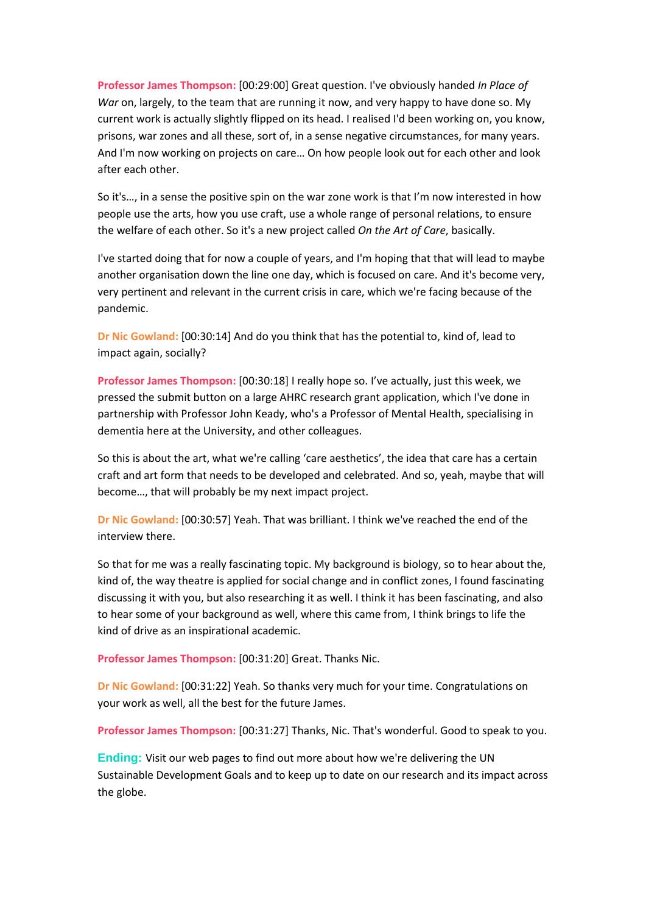**Professor James Thompson:** [00:29:00] Great question. I've obviously handed *In Place of War* on, largely, to the team that are running it now, and very happy to have done so. My current work is actually slightly flipped on its head. I realised I'd been working on, you know, prisons, war zones and all these, sort of, in a sense negative circumstances, for many years. And I'm now working on projects on care… On how people look out for each other and look after each other.

So it's…, in a sense the positive spin on the war zone work is that I'm now interested in how people use the arts, how you use craft, use a whole range of personal relations, to ensure the welfare of each other. So it's a new project called *On the Art of Care*, basically.

I've started doing that for now a couple of years, and I'm hoping that that will lead to maybe another organisation down the line one day, which is focused on care. And it's become very, very pertinent and relevant in the current crisis in care, which we're facing because of the pandemic.

**Dr Nic Gowland:** [00:30:14] And do you think that has the potential to, kind of, lead to impact again, socially?

**Professor James Thompson:** [00:30:18] I really hope so. I've actually, just this week, we pressed the submit button on a large AHRC research grant application, which I've done in partnership with Professor John Keady, who's a Professor of Mental Health, specialising in dementia here at the University, and other colleagues.

So this is about the art, what we're calling 'care aesthetics', the idea that care has a certain craft and art form that needs to be developed and celebrated. And so, yeah, maybe that will become…, that will probably be my next impact project.

**Dr Nic Gowland:** [00:30:57] Yeah. That was brilliant. I think we've reached the end of the interview there.

So that for me was a really fascinating topic. My background is biology, so to hear about the, kind of, the way theatre is applied for social change and in conflict zones, I found fascinating discussing it with you, but also researching it as well. I think it has been fascinating, and also to hear some of your background as well, where this came from, I think brings to life the kind of drive as an inspirational academic.

**Professor James Thompson:** [00:31:20] Great. Thanks Nic.

**Dr Nic Gowland:** [00:31:22] Yeah. So thanks very much for your time. Congratulations on your work as well, all the best for the future James.

**Professor James Thompson:** [00:31:27] Thanks, Nic. That's wonderful. Good to speak to you.

**Ending:** Visit our web pages to find out more about how we're delivering the UN Sustainable Development Goals and to keep up to date on our research and its impact across the globe.